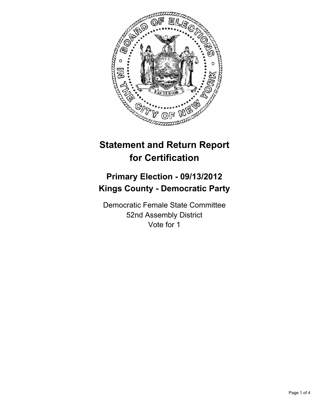

# **Statement and Return Report for Certification**

## **Primary Election - 09/13/2012 Kings County - Democratic Party**

Democratic Female State Committee 52nd Assembly District Vote for 1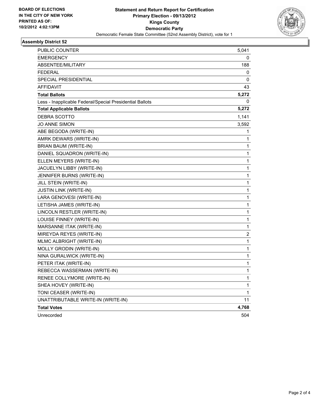

#### **Assembly District 52**

| PUBLIC COUNTER                                           | 5,041 |
|----------------------------------------------------------|-------|
| EMERGENCY                                                | 0     |
| ABSENTEE/MILITARY                                        | 188   |
| FEDERAL                                                  | 0     |
| SPECIAL PRESIDENTIAL                                     | 0     |
| <b>AFFIDAVIT</b>                                         | 43    |
| <b>Total Ballots</b>                                     | 5,272 |
| Less - Inapplicable Federal/Special Presidential Ballots | 0     |
| <b>Total Applicable Ballots</b>                          | 5,272 |
| DEBRA SCOTTO                                             | 1,141 |
| JO ANNE SIMON                                            | 3,592 |
| ABE BEGODA (WRITE-IN)                                    | 1     |
| AMRK DEWARS (WRITE-IN)                                   | 1     |
| BRIAN BAUM (WRITE-IN)                                    | 1     |
| DANIEL SQUADRON (WRITE-IN)                               | 1     |
| ELLEN MEYERS (WRITE-IN)                                  | 1     |
| JACUELYN LIBBY (WRITE-IN)                                | 1     |
| JENNIFER BURNS (WRITE-IN)                                | 1     |
| JILL STEIN (WRITE-IN)                                    | 1     |
| JUSTIN LINK (WRITE-IN)                                   | 1     |
| LARA GENOVESI (WRITE-IN)                                 | 1     |
| LETISHA JAMES (WRITE-IN)                                 | 1     |
| LINCOLN RESTLER (WRITE-IN)                               | 1     |
| LOUISE FINNEY (WRITE-IN)                                 | 1     |
| MARSANNE ITAK (WRITE-IN)                                 | 1     |
| MIREYDA REYES (WRITE-IN)                                 | 2     |
| MLMC ALBRIGHT (WRITE-IN)                                 | 1     |
| MOLLY GRODIN (WRITE-IN)                                  | 1     |
| NINA GURALWICK (WRITE-IN)                                | 1     |
| PETER ITAK (WRITE-IN)                                    | 1     |
| REBECCA WASSERMAN (WRITE-IN)                             | 1     |
| RENEE COLLYMORE (WRITE-IN)                               | 1     |
| SHEA HOVEY (WRITE-IN)                                    | 1     |
| TONI CEASER (WRITE-IN)                                   | 1     |
| UNATTRIBUTABLE WRITE-IN (WRITE-IN)                       | 11    |
| <b>Total Votes</b>                                       | 4,768 |
| Unrecorded                                               | 504   |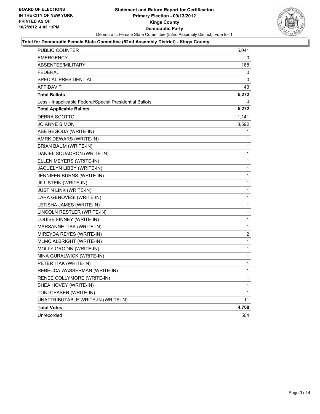

#### **Total for Democratic Female State Committee (52nd Assembly District) - Kings County**

| PUBLIC COUNTER                                           | 5,041        |
|----------------------------------------------------------|--------------|
| <b>EMERGENCY</b>                                         | 0            |
| ABSENTEE/MILITARY                                        | 188          |
| <b>FEDERAL</b>                                           | 0            |
| <b>SPECIAL PRESIDENTIAL</b>                              | 0            |
| <b>AFFIDAVIT</b>                                         | 43           |
| <b>Total Ballots</b>                                     | 5,272        |
| Less - Inapplicable Federal/Special Presidential Ballots | 0            |
| <b>Total Applicable Ballots</b>                          | 5,272        |
| DEBRA SCOTTO                                             | 1,141        |
| <b>JO ANNE SIMON</b>                                     | 3,592        |
| ABE BEGODA (WRITE-IN)                                    | 1            |
| AMRK DEWARS (WRITE-IN)                                   | 1            |
| BRIAN BAUM (WRITE-IN)                                    | 1            |
| DANIEL SQUADRON (WRITE-IN)                               | 1            |
| ELLEN MEYERS (WRITE-IN)                                  | 1            |
| JACUELYN LIBBY (WRITE-IN)                                | 1            |
| JENNIFER BURNS (WRITE-IN)                                | 1            |
| JILL STEIN (WRITE-IN)                                    | $\mathbf{1}$ |
| JUSTIN LINK (WRITE-IN)                                   | 1            |
| LARA GENOVESI (WRITE-IN)                                 | $\mathbf{1}$ |
| LETISHA JAMES (WRITE-IN)                                 | $\mathbf{1}$ |
| LINCOLN RESTLER (WRITE-IN)                               | $\mathbf{1}$ |
| LOUISE FINNEY (WRITE-IN)                                 | $\mathbf{1}$ |
| MARSANNE ITAK (WRITE-IN)                                 | $\mathbf{1}$ |
| MIREYDA REYES (WRITE-IN)                                 | 2            |
| MLMC ALBRIGHT (WRITE-IN)                                 | 1            |
| MOLLY GRODIN (WRITE-IN)                                  | $\mathbf{1}$ |
| NINA GURALWICK (WRITE-IN)                                | $\mathbf{1}$ |
| PETER ITAK (WRITE-IN)                                    | $\mathbf{1}$ |
| REBECCA WASSERMAN (WRITE-IN)                             | 1            |
| RENEE COLLYMORE (WRITE-IN)                               | 1            |
| SHEA HOVEY (WRITE-IN)                                    | 1            |
| TONI CEASER (WRITE-IN)                                   | 1            |
| UNATTRIBUTABLE WRITE-IN (WRITE-IN)                       | 11           |
| <b>Total Votes</b>                                       | 4,768        |
| Unrecorded                                               | 504          |